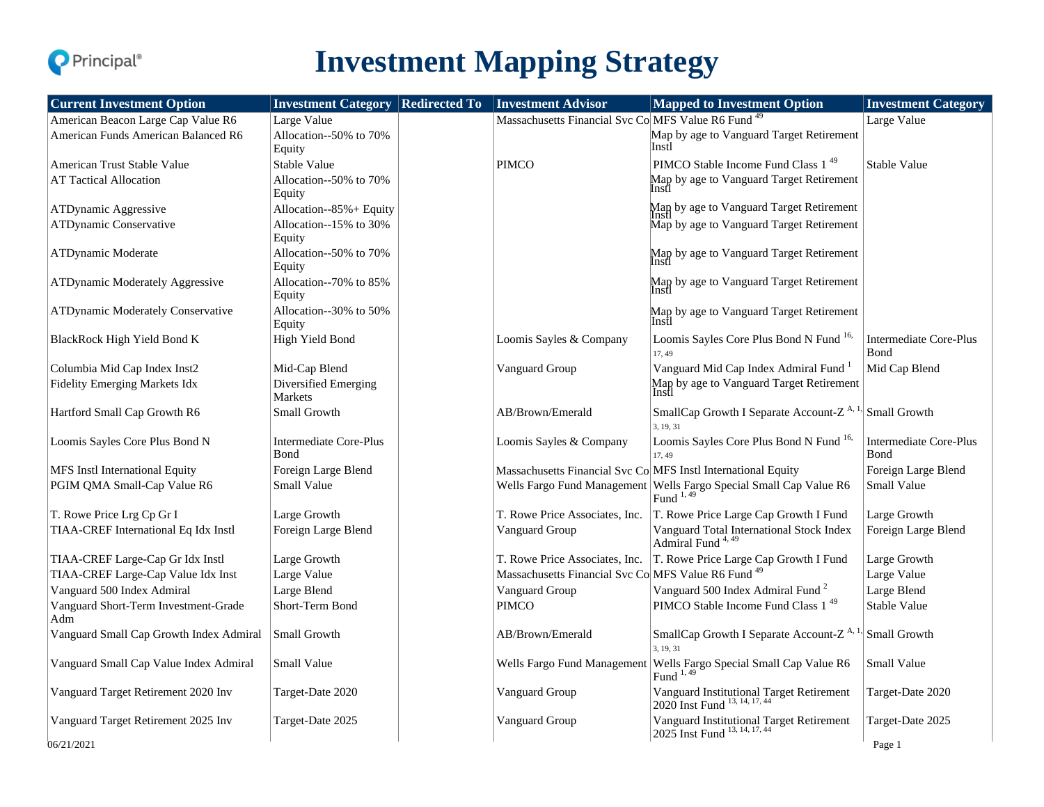

# **Investment Mapping Strategy**

| <b>Current Investment Option</b>            | <b>Investment Category   Redirected To</b> | <b>Investment Advisor</b>                                      | <b>Mapped to Investment Option</b>                                                       | <b>Investment Category</b>                    |
|---------------------------------------------|--------------------------------------------|----------------------------------------------------------------|------------------------------------------------------------------------------------------|-----------------------------------------------|
| American Beacon Large Cap Value R6          | Large Value                                | Massachusetts Financial Svc Co MFS Value R6 Fund <sup>49</sup> |                                                                                          | Large Value                                   |
| American Funds American Balanced R6         | Allocation--50% to 70%<br>Equity           |                                                                | Map by age to Vanguard Target Retirement<br>Instl                                        |                                               |
| American Trust Stable Value                 | Stable Value                               | <b>PIMCO</b>                                                   | PIMCO Stable Income Fund Class 1 <sup>49</sup>                                           | <b>Stable Value</b>                           |
| <b>AT Tactical Allocation</b>               | Allocation--50% to 70%<br>Equity           |                                                                | Map by age to Vanguard Target Retirement                                                 |                                               |
| ATDynamic Aggressive                        | Allocation--85%+ Equity                    |                                                                | Map by age to Vanguard Target Retirement                                                 |                                               |
| ATDynamic Conservative                      | Allocation--15% to 30%<br>Equity           |                                                                | Map by age to Vanguard Target Retirement                                                 |                                               |
| ATDynamic Moderate                          | Allocation--50% to 70%<br>Equity           |                                                                | Map by age to Vanguard Target Retirement                                                 |                                               |
| ATDynamic Moderately Aggressive             | Allocation--70% to 85%<br>Equity           |                                                                | Map by age to Vanguard Target Retirement<br>Instl                                        |                                               |
| <b>ATDynamic Moderately Conservative</b>    | Allocation--30% to 50%<br>Equity           |                                                                | Map by age to Vanguard Target Retirement<br>Instl                                        |                                               |
| BlackRock High Yield Bond K                 | High Yield Bond                            | Loomis Sayles & Company                                        | Loomis Sayles Core Plus Bond N Fund 16,<br>17, 49                                        | <b>Intermediate Core-Plus</b><br>Bond         |
| Columbia Mid Cap Index Inst2                | Mid-Cap Blend                              | Vanguard Group                                                 | Vanguard Mid Cap Index Admiral Fund <sup>1</sup>                                         | Mid Cap Blend                                 |
| Fidelity Emerging Markets Idx               | Diversified Emerging<br>Markets            |                                                                | Map by age to Vanguard Target Retirement<br>Instl                                        |                                               |
| Hartford Small Cap Growth R6                | Small Growth                               | AB/Brown/Emerald                                               | SmallCap Growth I Separate Account-Z <sup>A,</sup><br>3, 19, 31                          | Small Growth                                  |
| Loomis Sayles Core Plus Bond N              | <b>Intermediate Core-Plus</b><br>Bond      | Loomis Sayles & Company                                        | Loomis Sayles Core Plus Bond N Fund 16,<br>17.49                                         | <b>Intermediate Core-Plus</b><br><b>B</b> ond |
| MFS Instl International Equity              | Foreign Large Blend                        | Massachusetts Financial Svc Co MFS Instl International Equity  |                                                                                          | Foreign Large Blend                           |
| PGIM QMA Small-Cap Value R6                 | Small Value                                | Wells Fargo Fund Management                                    | Wells Fargo Special Small Cap Value R6<br>Fund $^{1,49}$                                 | Small Value                                   |
| T. Rowe Price Lrg Cp Gr I                   | Large Growth                               | T. Rowe Price Associates, Inc.                                 | T. Rowe Price Large Cap Growth I Fund                                                    | Large Growth                                  |
| TIAA-CREF International Eq Idx Instl        | Foreign Large Blend                        | Vanguard Group                                                 | Vanguard Total International Stock Index<br>Admiral Fund <sup>4,49</sup>                 | Foreign Large Blend                           |
| TIAA-CREF Large-Cap Gr Idx Instl            | Large Growth                               | T. Rowe Price Associates, Inc.                                 | T. Rowe Price Large Cap Growth I Fund                                                    | Large Growth                                  |
| TIAA-CREF Large-Cap Value Idx Inst          | Large Value                                | Massachusetts Financial Svc Co MFS Value R6 Fund <sup>49</sup> |                                                                                          | Large Value                                   |
| Vanguard 500 Index Admiral                  | Large Blend                                | Vanguard Group                                                 | Vanguard 500 Index Admiral Fund <sup>2</sup>                                             | Large Blend                                   |
| Vanguard Short-Term Investment-Grade<br>Adm | Short-Term Bond                            | <b>PIMCO</b>                                                   | PIMCO Stable Income Fund Class 1 <sup>49</sup>                                           | Stable Value                                  |
| Vanguard Small Cap Growth Index Admiral     | Small Growth                               | AB/Brown/Emerald                                               | SmallCap Growth I Separate Account-Z <sup>A, 1,</sup><br>3, 19, 31                       | Small Growth                                  |
| Vanguard Small Cap Value Index Admiral      | Small Value                                | Wells Fargo Fund Management                                    | Wells Fargo Special Small Cap Value R6<br>Fund 1,49                                      | Small Value                                   |
| Vanguard Target Retirement 2020 Inv         | Target-Date 2020                           | Vanguard Group                                                 | Vanguard Institutional Target Retirement<br>2020 Inst<br>Fund $^{\rm 13,\,14,\,17,\,44}$ | Target-Date 2020                              |
| Vanguard Target Retirement 2025 Inv         | Target-Date 2025                           | Vanguard Group                                                 | Vanguard Institutional Target Retirement<br>2025 Inst Fund 13, 14, 17, 44                | Target-Date 2025                              |
| 06/21/2021                                  |                                            |                                                                |                                                                                          | Page 1                                        |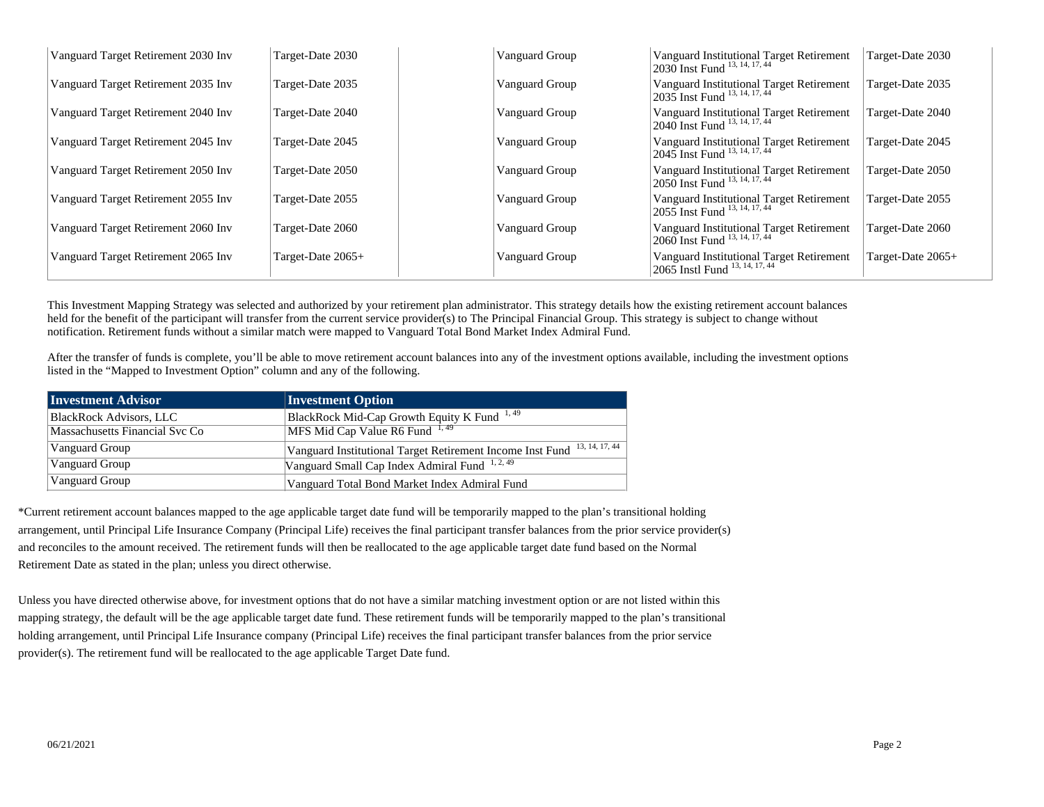| Vanguard Target Retirement 2030 Inv | Target-Date 2030  | Vanguard Group | Vanguard Institutional Target Retirement<br>2030 Inst Fund <sup>13, 14, 17, 44</sup> | Target-Date 2030  |
|-------------------------------------|-------------------|----------------|--------------------------------------------------------------------------------------|-------------------|
| Vanguard Target Retirement 2035 Inv | Target-Date 2035  | Vanguard Group | Vanguard Institutional Target Retirement<br>2035 Inst Fund 13, 14, 17, 44            | Target-Date 2035  |
| Vanguard Target Retirement 2040 Inv | Target-Date 2040  | Vanguard Group | Vanguard Institutional Target Retirement<br>2040 Inst Fund 13, 14, 17, 44            | Target-Date 2040  |
| Vanguard Target Retirement 2045 Inv | Target-Date 2045  | Vanguard Group | Vanguard Institutional Target Retirement<br>2045 Inst Fund <sup>13, 14, 17, 44</sup> | Target-Date 2045  |
| Vanguard Target Retirement 2050 Inv | Target-Date 2050  | Vanguard Group | Vanguard Institutional Target Retirement<br>2050 Inst Fund 13, 14, 17, 44            | Target-Date 2050  |
| Vanguard Target Retirement 2055 Inv | Target-Date 2055  | Vanguard Group | Vanguard Institutional Target Retirement<br>$12055$ Inst Fund $13, 14, 17, 44$       | Target-Date 2055  |
| Vanguard Target Retirement 2060 Inv | Target-Date 2060  | Vanguard Group | Vanguard Institutional Target Retirement<br>$12060$ Inst Fund $13, 14, 17, 44$       | Target-Date 2060  |
| Vanguard Target Retirement 2065 Inv | Target-Date 2065+ | Vanguard Group | Vanguard Institutional Target Retirement<br>2065 Instl Fund 13, 14, 17, 44           | Target-Date 2065+ |

This Investment Mapping Strategy was selected and authorized by your retirement plan administrator. This strategy details how the existing retirement account balances held for the benefit of the participant will transfer from the current service provider(s) to The Principal Financial Group. This strategy is subject to change without notification. Retirement funds without a similar match were mapped to Vanguard Total Bond Market Index Admiral Fund.

After the transfer of funds is complete, you'll be able to move retirement account balances into any of the investment options available, including the investment options listed in the "Mapped to Investment Option" column and any of the following.

| <b>Investment Advisor</b>      | <b>Investment Option</b>                                                 |
|--------------------------------|--------------------------------------------------------------------------|
| <b>BlackRock Advisors, LLC</b> | BlackRock Mid-Cap Growth Equity K Fund <sup>1,49</sup>                   |
| Massachusetts Financial Svc Co | MFS Mid Cap Value R6 Fund 1, 49                                          |
| Vanguard Group                 | Vanguard Institutional Target Retirement Income Inst Fund 13, 14, 17, 44 |
| Vanguard Group                 | Vanguard Small Cap Index Admiral Fund 1, 2, 49                           |
| Vanguard Group                 | Vanguard Total Bond Market Index Admiral Fund                            |

\*Current retirement account balances mapped to the age applicable target date fund will be temporarily mapped to the plan's transitional holding arrangement, until Principal Life Insurance Company (Principal Life) receives the final participant transfer balances from the prior service provider(s) and reconciles to the amount received. The retirement funds will then be reallocated to the age applicable target date fund based on the Normal Retirement Date as stated in the plan; unless you direct otherwise.

Unless you have directed otherwise above, for investment options that do not have a similar matching investment option or are not listed within this mapping strategy, the default will be the age applicable target date fund. These retirement funds will be temporarily mapped to the plan's transitional holding arrangement, until Principal Life Insurance company (Principal Life) receives the final participant transfer balances from the prior service provider(s). The retirement fund will be reallocated to the age applicable Target Date fund.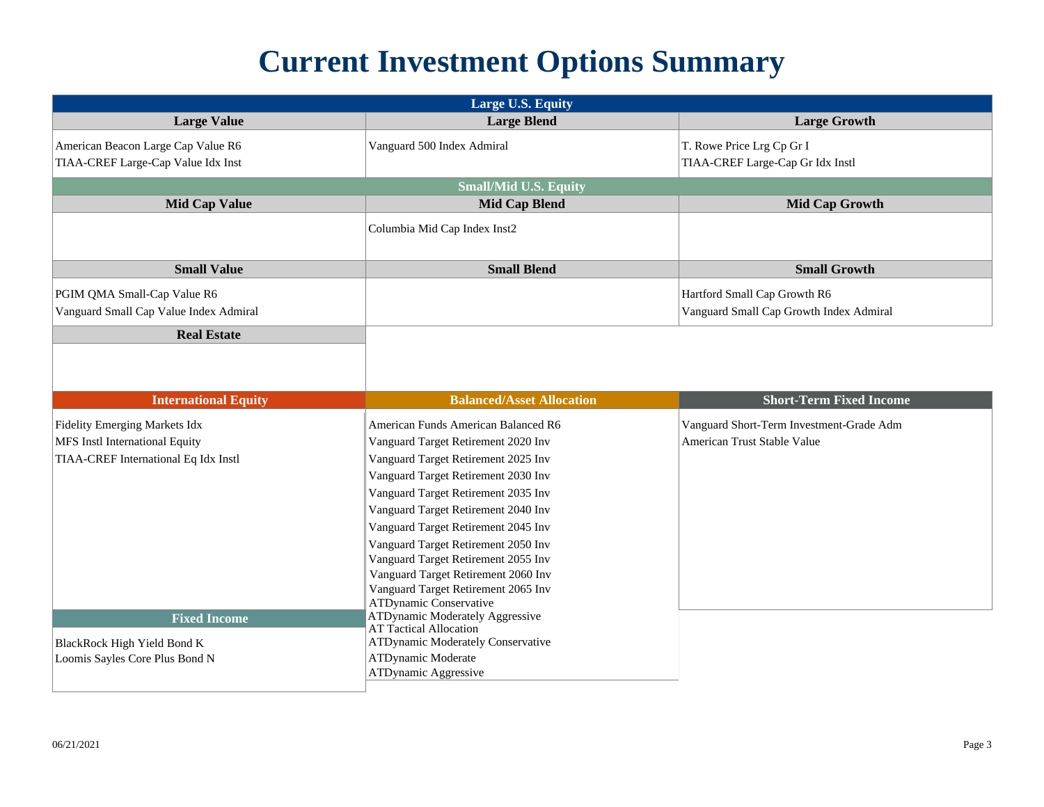## **Current Investment Options Summary**

| Large U.S. Equity                                             |                                                                      |                                          |  |
|---------------------------------------------------------------|----------------------------------------------------------------------|------------------------------------------|--|
| <b>Large Value</b>                                            | <b>Large Blend</b>                                                   | <b>Large Growth</b>                      |  |
| American Beacon Large Cap Value R6                            | Vanguard 500 Index Admiral                                           | T. Rowe Price Lrg Cp Gr I                |  |
| TIAA-CREF Large-Cap Value Idx Inst                            |                                                                      | TIAA-CREF Large-Cap Gr Idx Instl         |  |
|                                                               | <b>Small/Mid U.S. Equity</b>                                         |                                          |  |
| <b>Mid Cap Value</b>                                          | <b>Mid Cap Blend</b>                                                 | <b>Mid Cap Growth</b>                    |  |
|                                                               | Columbia Mid Cap Index Inst2                                         |                                          |  |
| <b>Small Value</b>                                            | <b>Small Blend</b>                                                   | <b>Small Growth</b>                      |  |
| PGIM QMA Small-Cap Value R6                                   |                                                                      | Hartford Small Cap Growth R6             |  |
| Vanguard Small Cap Value Index Admiral                        |                                                                      | Vanguard Small Cap Growth Index Admiral  |  |
| <b>Real Estate</b>                                            |                                                                      |                                          |  |
|                                                               |                                                                      |                                          |  |
|                                                               |                                                                      |                                          |  |
| <b>International Equity</b>                                   | <b>Balanced/Asset Allocation</b>                                     | <b>Short-Term Fixed Income</b>           |  |
| Fidelity Emerging Markets Idx                                 | American Funds American Balanced R6                                  | Vanguard Short-Term Investment-Grade Adm |  |
| MFS Instl International Equity                                | Vanguard Target Retirement 2020 Inv                                  | American Trust Stable Value              |  |
| TIAA-CREF International Eq Idx Instl                          | Vanguard Target Retirement 2025 Inv                                  |                                          |  |
|                                                               | Vanguard Target Retirement 2030 Inv                                  |                                          |  |
|                                                               | Vanguard Target Retirement 2035 Inv                                  |                                          |  |
|                                                               | Vanguard Target Retirement 2040 Inv                                  |                                          |  |
|                                                               | Vanguard Target Retirement 2045 Inv                                  |                                          |  |
|                                                               | Vanguard Target Retirement 2050 Inv                                  |                                          |  |
|                                                               | Vanguard Target Retirement 2055 Inv                                  |                                          |  |
|                                                               | Vanguard Target Retirement 2060 Inv                                  |                                          |  |
|                                                               | Vanguard Target Retirement 2065 Inv<br><b>ATDynamic Conservative</b> |                                          |  |
| <b>Fixed Income</b>                                           | ATDynamic Moderately Aggressive                                      |                                          |  |
|                                                               | <b>AT Tactical Allocation</b>                                        |                                          |  |
| BlackRock High Yield Bond K<br>Loomis Sayles Core Plus Bond N | ATDynamic Moderately Conservative<br>ATDynamic Moderate              |                                          |  |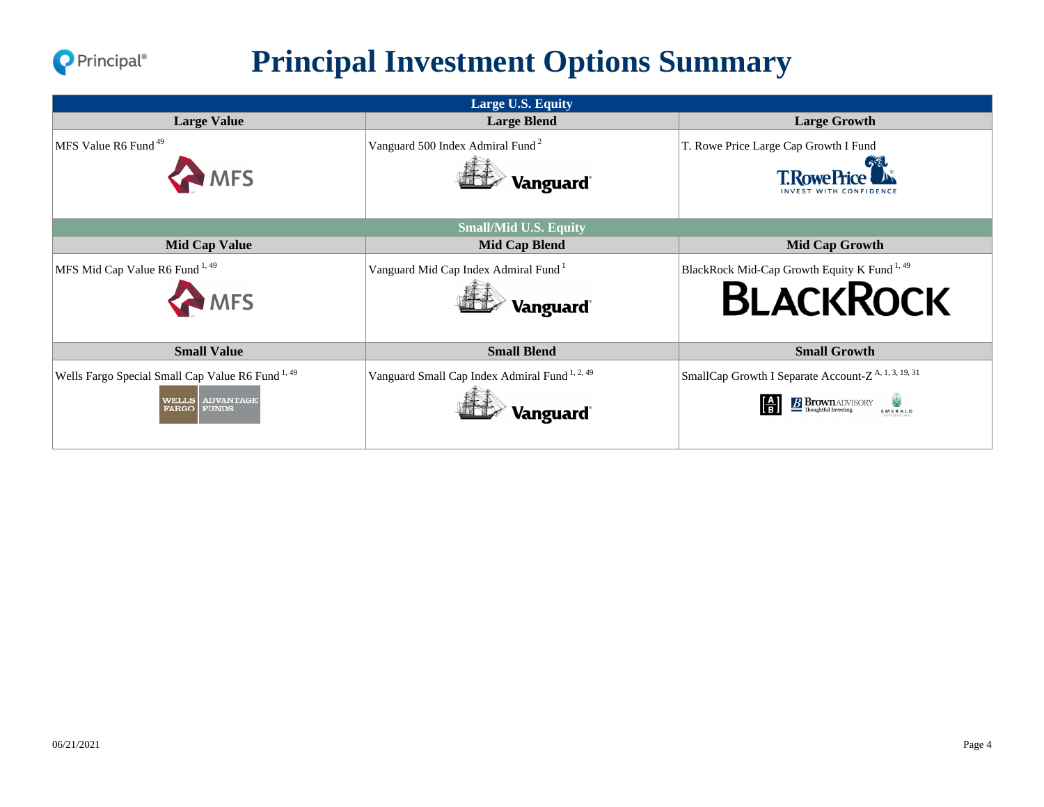

## **Principal Investment Options Summary**

| Large U.S. Equity                                                                                                               |                                                                        |                                                                                                       |  |
|---------------------------------------------------------------------------------------------------------------------------------|------------------------------------------------------------------------|-------------------------------------------------------------------------------------------------------|--|
| <b>Large Value</b>                                                                                                              | <b>Large Blend</b>                                                     | <b>Large Growth</b>                                                                                   |  |
| MFS Value R6 Fund <sup>49</sup><br><b>MFS</b>                                                                                   | Vanguard 500 Index Admiral Fund <sup>2</sup><br>Vanguard <sup>®</sup>  | T. Rowe Price Large Cap Growth I Fund<br><b>T.RowePrice</b>                                           |  |
|                                                                                                                                 | <b>Small/Mid U.S. Equity</b>                                           |                                                                                                       |  |
| <b>Mid Cap Value</b>                                                                                                            | <b>Mid Cap Blend</b>                                                   | <b>Mid Cap Growth</b>                                                                                 |  |
| MFS Mid Cap Value R6 Fund <sup>1,49</sup><br><b>MFS</b>                                                                         | Vanguard Mid Cap Index Admiral Fund <sup>1</sup><br><b>Vanguard</b>    | BlackRock Mid-Cap Growth Equity K Fund <sup>1,49</sup><br><b>BLACKROCK</b>                            |  |
| <b>Small Value</b>                                                                                                              | <b>Small Blend</b>                                                     | <b>Small Growth</b>                                                                                   |  |
| Wells Fargo Special Small Cap Value R6 Fund <sup>1,49</sup><br><b>ADVANTAGE</b><br><b>WELLS</b><br><b>FARGO</b><br><b>FUNDS</b> | Vanguard Small Cap Index Admiral Fund <sup>1, 2, 49</sup><br>Vanguard' | SmallCap Growth I Separate Account-Z <sup>A, 1, 3, 19, 31</sup><br><b>B</b> Brown ADVISORY<br>EMERALD |  |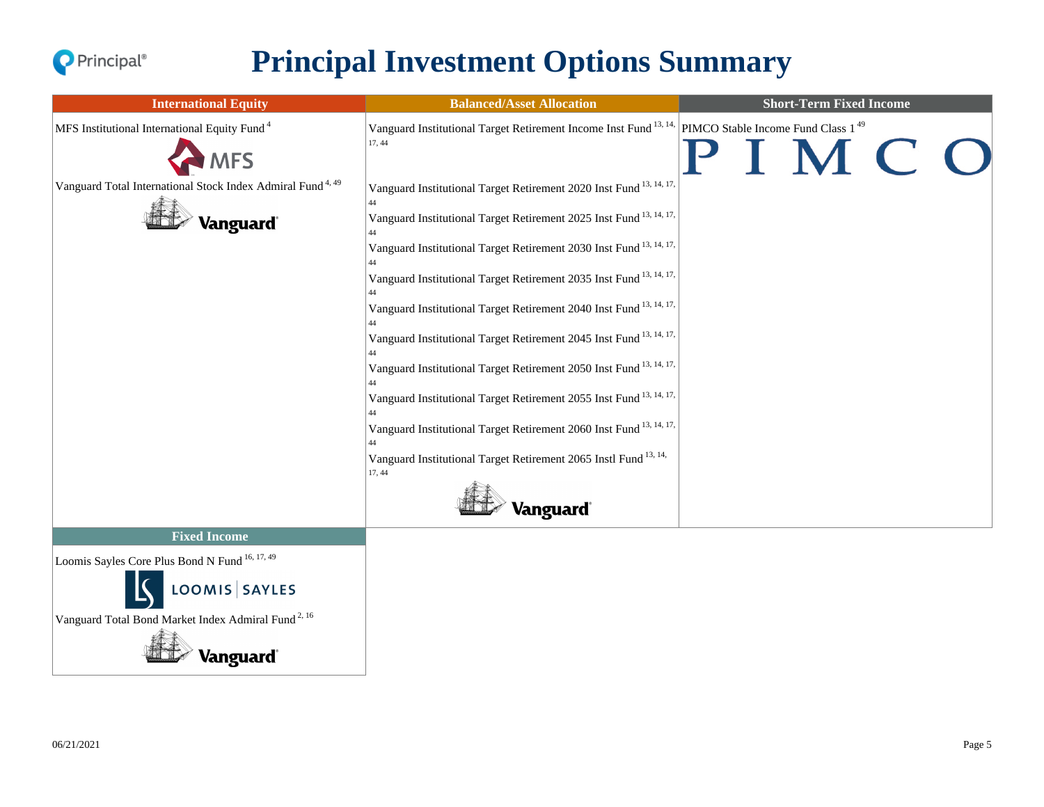

### **Principal Investment Options Summary**

| Vanguard Institutional Target Retirement Income Inst Fund <sup>13, 14,</sup> PIMCO Stable Income Fund Class 1 <sup>49</sup><br>MFS Institutional International Equity Fund <sup>4</sup><br>17, 44<br><b>MFS</b><br>Vanguard Total International Stock Index Admiral Fund <sup>4,49</sup><br>Vanguard Institutional Target Retirement 2020 Inst Fund <sup>13, 14, 17,</sup><br>Vanguard Institutional Target Retirement 2025 Inst Fund <sup>13, 14, 17,</sup><br>Vanguard <sup>®</sup><br>Vanguard Institutional Target Retirement 2030 Inst Fund <sup>13, 14, 17,</sup><br>Vanguard Institutional Target Retirement 2035 Inst Fund <sup>13, 14, 17,</sup><br>Vanguard Institutional Target Retirement 2040 Inst Fund 13, 14, 17, | IMCO<br>Vanguard Institutional Target Retirement 2045 Inst Fund <sup>13, 14, 17,</sup><br>Vanguard Institutional Target Retirement 2050 Inst Fund <sup>13, 14, 17,</sup><br>Vanguard Institutional Target Retirement 2055 Inst Fund <sup>13, 14, 17,</sup><br>Vanguard Institutional Target Retirement 2060 Inst Fund <sup>13, 14, 17,</sup><br>Vanguard Institutional Target Retirement 2065 Instl Fund <sup>13, 14,</sup><br>17, 44<br>Vanguard <sup>®</sup> | <b>International Equity</b>                    | <b>Balanced/Asset Allocation</b> | <b>Short-Term Fixed Income</b> |  |
|----------------------------------------------------------------------------------------------------------------------------------------------------------------------------------------------------------------------------------------------------------------------------------------------------------------------------------------------------------------------------------------------------------------------------------------------------------------------------------------------------------------------------------------------------------------------------------------------------------------------------------------------------------------------------------------------------------------------------------|----------------------------------------------------------------------------------------------------------------------------------------------------------------------------------------------------------------------------------------------------------------------------------------------------------------------------------------------------------------------------------------------------------------------------------------------------------------|------------------------------------------------|----------------------------------|--------------------------------|--|
|                                                                                                                                                                                                                                                                                                                                                                                                                                                                                                                                                                                                                                                                                                                                  |                                                                                                                                                                                                                                                                                                                                                                                                                                                                |                                                |                                  |                                |  |
| <b>Fixed Income</b>                                                                                                                                                                                                                                                                                                                                                                                                                                                                                                                                                                                                                                                                                                              |                                                                                                                                                                                                                                                                                                                                                                                                                                                                | Loomis Sayles Core Plus Bond N Fund 16, 17, 49 |                                  |                                |  |

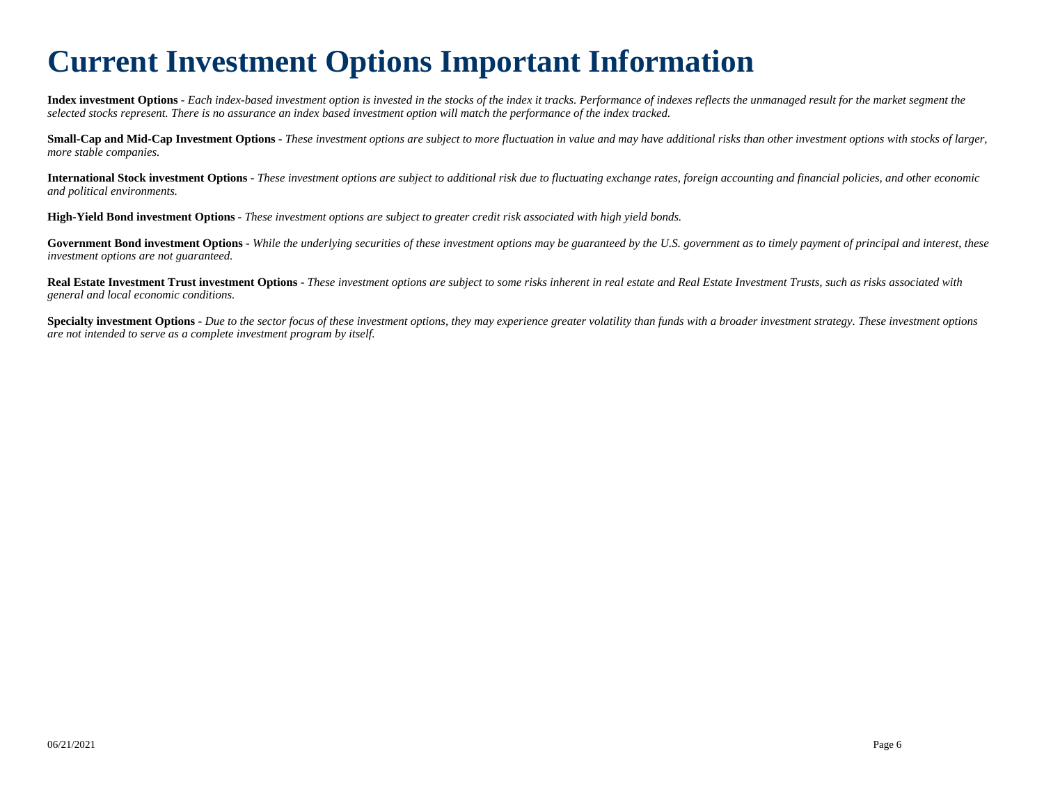#### **Current Investment Options Important Information**

**Index investment Options** *- Each index-based investment option is invested in the stocks of the index it tracks. Performance of indexes reflects the unmanaged result for the market segment the selected stocks represent. There is no assurance an index based investment option will match the performance of the index tracked.*

**Small-Cap and Mid-Cap Investment Options** *- These investment options are subject to more fluctuation in value and may have additional risks than other investment options with stocks of larger, more stable companies.*

**International Stock investment Options** *- These investment options are subject to additional risk due to fluctuating exchange rates, foreign accounting and financial policies, and other economic and political environments.*

**High-Yield Bond investment Options** *- These investment options are subject to greater credit risk associated with high yield bonds.*

Government Bond investment Options *- While the underlying securities of these investment options may be guaranteed by the U.S. government as to timely payment of principal and interest, these investment options are not guaranteed.*

**Real Estate Investment Trust investment Options** *- These investment options are subject to some risks inherent in real estate and Real Estate Investment Trusts, such as risks associated with general and local economic conditions.*

**Specialty investment Options** *- Due to the sector focus of these investment options, they may experience greater volatility than funds with a broader investment strategy. These investment options are not intended to serve as a complete investment program by itself.*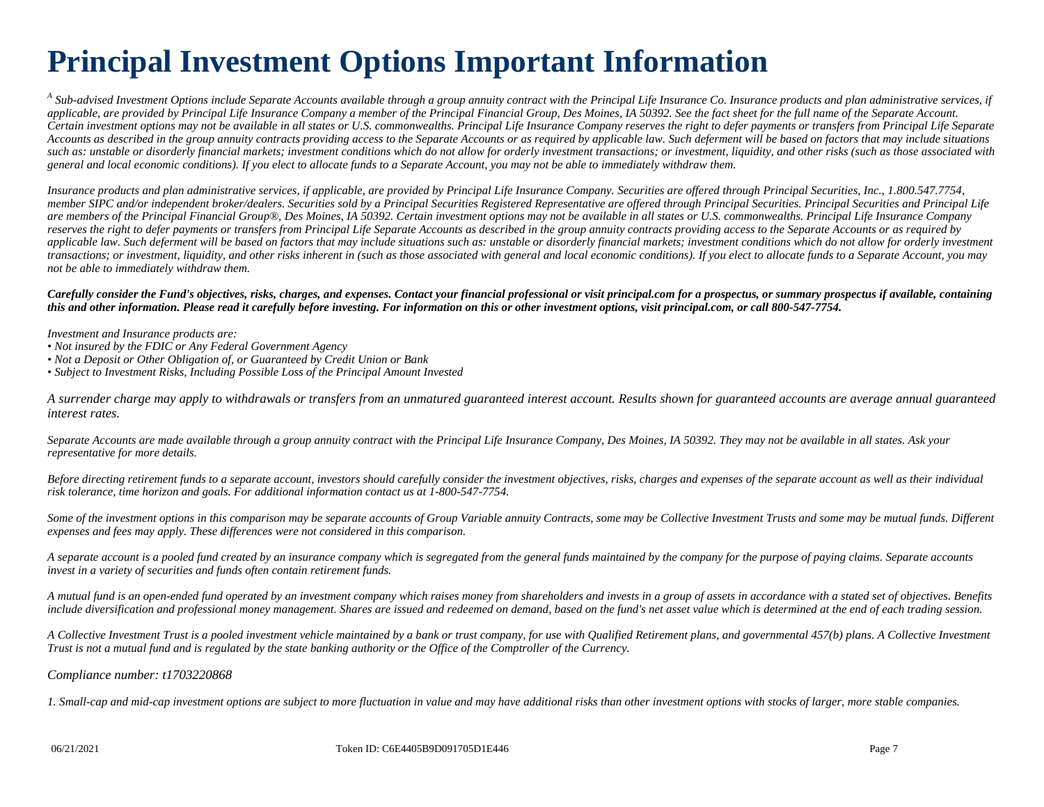## **Principal Investment Options Important Information**

*A Sub-advised Investment Options include Separate Accounts available through a group annuity contract with the Principal Life Insurance Co. Insurance products and plan administrative services, if applicable, are provided by Principal Life Insurance Company a member of the Principal Financial Group, Des Moines, IA 50392. See the fact sheet for the full name of the Separate Account. Certain investment options may not be available in all states or U.S. commonwealths. Principal Life Insurance Company reserves the right to defer payments or transfers from Principal Life Separate Accounts as described in the group annuity contracts providing access to the Separate Accounts or as required by applicable law. Such deferment will be based on factors that may include situations such as: unstable or disorderly financial markets; investment conditions which do not allow for orderly investment transactions; or investment, liquidity, and other risks (such as those associated with general and local economic conditions). If you elect to allocate funds to a Separate Account, you may not be able to immediately withdraw them.*

*Insurance products and plan administrative services, if applicable, are provided by Principal Life Insurance Company. Securities are offered through Principal Securities, Inc., 1.800.547.7754, member SIPC and/or independent broker/dealers. Securities sold by a Principal Securities Registered Representative are offered through Principal Securities. Principal Securities and Principal Life are members of the Principal Financial Group®, Des Moines, IA 50392. Certain investment options may not be available in all states or U.S. commonwealths. Principal Life Insurance Company reserves the right to defer payments or transfers from Principal Life Separate Accounts as described in the group annuity contracts providing access to the Separate Accounts or as required by applicable law. Such deferment will be based on factors that may include situations such as: unstable or disorderly financial markets; investment conditions which do not allow for orderly investment transactions; or investment, liquidity, and other risks inherent in (such as those associated with general and local economic conditions). If you elect to allocate funds to a Separate Account, you may not be able to immediately withdraw them.*

*Carefully consider the Fund's objectives, risks, charges, and expenses. Contact your financial professional or visit principal.com for a prospectus, or summary prospectus if available, containing this and other information. Please read it carefully before investing. For information on this or other investment options, visit principal.com, or call 800-547-7754.*

*Investment and Insurance products are:*

- *Not insured by the FDIC or Any Federal Government Agency*
- *Not a Deposit or Other Obligation of, or Guaranteed by Credit Union or Bank*
- *Subject to Investment Risks, Including Possible Loss of the Principal Amount Invested*

*A surrender charge may apply to withdrawals or transfers from an unmatured guaranteed interest account. Results shown for guaranteed accounts are average annual guaranteed interest rates.*

*Separate Accounts are made available through a group annuity contract with the Principal Life Insurance Company, Des Moines, IA 50392. They may not be available in all states. Ask your representative for more details.*

*Before directing retirement funds to a separate account, investors should carefully consider the investment objectives, risks, charges and expenses of the separate account as well as their individual risk tolerance, time horizon and goals. For additional information contact us at 1-800-547-7754.*

Some of the investment options in this comparison may be separate accounts of Group Variable annuity Contracts, some may be Collective Investment Trusts and some may be mutual funds. Different *expenses and fees may apply. These differences were not considered in this comparison.*

*A separate account is a pooled fund created by an insurance company which is segregated from the general funds maintained by the company for the purpose of paying claims. Separate accounts invest in a variety of securities and funds often contain retirement funds.*

*A mutual fund is an open-ended fund operated by an investment company which raises money from shareholders and invests in a group of assets in accordance with a stated set of objectives. Benefits include diversification and professional money management. Shares are issued and redeemed on demand, based on the fund's net asset value which is determined at the end of each trading session.*

*A Collective Investment Trust is a pooled investment vehicle maintained by a bank or trust company, for use with Qualified Retirement plans, and governmental 457(b) plans. A Collective Investment Trust is not a mutual fund and is regulated by the state banking authority or the Office of the Comptroller of the Currency.*

#### *Compliance number: t1703220868*

*1. Small-cap and mid-cap investment options are subject to more fluctuation in value and may have additional risks than other investment options with stocks of larger, more stable companies.*